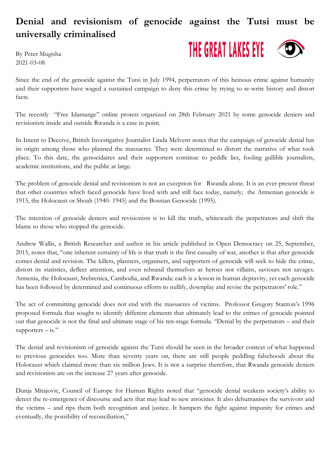## **Denial and revisionism of genocide against the Tutsi must be universally criminalised**

By Peter Mugisha 2021-03-08



Since the end of the genocide against the Tutsi in July 1994, perpetrators of this heinous crime against humanity and their supporters have waged a sustained campaign to deny this crime by trying to re-write history and distort facts.

The recently "Free Idamange" online protest organized on 28th February 2021 by some genocide deniers and revisionists inside and outside Rwanda is a case in point.

In Intent to Deceive, British Investigative Journalist Linda Melvern notes that the campaign of genocide denial has its origin among those who planned the massacres. They were determined to distort the narrative of what took place. To this date, the genocidaires and their supporters continue to peddle lies, fooling gullible journalists, academic institutions, and the public at large.

The problem of genocide denial and revisionism is not an exception for Rwanda alone. It is an ever-present threat that other countries which faced genocide have lived with and still face today, namely; the Armenian genocide is 1915, the Holocaust or Shoah (1940- 1945) and the Bosnian Genocide (1995).

The intention of genocide deniers and revisionists is to kill the truth, whitewash the perpetrators and shift the blame to those who stopped the genocide.

Andrew Wallis, a British Researcher and author in his article published in Open Democracy on 25, September, 2015, notes that, "one inherent certainty of life is that truth is the first casualty of war, another is that after genocide comes denial and revision. The killers, planners, organisers, and supporters of genocide will seek to hide the crime, distort its statistics, deflect attention, and even rebrand themselves as heroes not villains, saviours not savages. Armenia, the Holocaust, Srebrenica, Cambodia, and Rwanda: each is a lesson in human depravity, yet each genocide has been followed by determined and continuous efforts to nullify, downplay and revise the perpetrators' role."

The act of committing genocide does not end with the massacres of victims. Professor Gregory Stanton's 1996 proposed formula that sought to identify different elements that ultimately lead to the crimes of genocide pointed out that genocide is not the final and ultimate stage of his ten-stage formula. "Denial by the perpetrators – and their  $supports - is.$ "

The denial and revisionism of genocide against the Tutsi should be seen in the broader context of what happened to previous genocides too. More than seventy years on, there are still people peddling falsehoods about the Holocaust which claimed more than six million Jews. It is not a surprise therefore, that Rwanda genocide deniers and revisionists are on the increase 27 years after genocide.

Dunja Mitajovic, Council of Europe for Human Rights noted that "genocide denial weakens society's ability to detect the re-emergence of discourse and acts that may lead to new atrocities. It also dehumanises the survivors and the victims – and rips them both recognition and justice. It hampers the fight against impunity for crimes and eventually, the possibility of reconciliation,"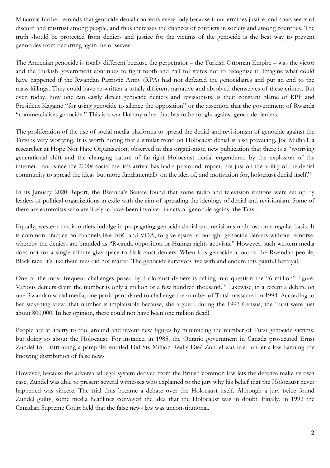Mitajovic further reminds that genocide denial concerns everybody because it undermines justice, and sows seeds of discord and mistrust among people, and thus increases the chances of conflicts in society and among countries. The truth should be protected from deniers and justice for the victims of the genocide is the best way to prevent genocides from occurring again, he observes.

The Armenian genocide is totally different because the perpetrator – the Turkish Ottoman Empire – was the victor and the Turkish government continues to fight tooth and nail for states not to recognise it. Imagine what could have happened if the Rwandan Patriotic Army (RPA) had not defeated the genocidaires and put an end to the mass-killings. They could have re-written a totally different narrative and absolved themselves of these crimes. But even today, how one can easily detect genocide deniers and revisionists, is their constant blame of RPF and President Kagame "for using genocide to silence the opposition" or the assertion that the government of Rwanda "commercialises genocide." This is a war like any other that has to be fought against genocide deniers.

The proliferation of the use of social media platforms to spread the denial and revisionism of genocide against the Tutsi is very worrying. It is worth noting that a similar trend on Holocaust denial is also prevailing. Joe Mulhall, a researcher at Hope Not Hate Organisation, observed in this organisation new publication that there is a "worrying generational shift and the changing nature of far-right Holocaust denial engendered by the explosion of the internet…and since the 2000s social media's arrival has had a profound impact, not just on the ability of the denial community to spread the ideas but more fundamentally on the idea of, and motivation for, holocaust denial itself."

In its January 2020 Report, the Rwanda's Senate found that some radio and television stations were set up by leaders of political organizations in exile with the aim of spreading the ideology of denial and revisionism. Some of them are extremists who are likely to have been involved in acts of genocide against the Tutsi.

Equally, western media outlets indulge in propagating genocide denial and revisionism almost on a regular basis. It is common practice on channels like BBC and VOA, to give space to outright genocide deniers without remorse, whereby the deniers are branded as "Rwanda opposition or Human rights activists." However, such western media does not for a single minute give space to Holocaust deniers! When it is genocide about of the Rwandan people, Black race, it's like their lives did not matter. The genocide survivors live with and endure this painful betrayal.

One of the most frequent challenges posed by Holocaust deniers is calling into question the "6 million" figure. Various deniers claim the number is only a million or a few hundred thousand." Likewise, in a recent a debate on one Rwandan social media, one participant dared to challenge the number of Tutsi massacred in 1994. According to her sickening view, that number is implausible because, she argued, during the 1993 Census, the Tutsi were just about 800,000. In her opinion, there could not have been one million dead!

People are at liberty to fool around and invent new figures by minimizing the number of Tutsi genocide victims, but doing so about the Holocaust. For instance, in 1985, the Ontario government in Canada prosecuted Ernst Zundel for distributing a pamphlet entitled Did Six Million Really Die? Zundel was tried under a law banning the knowing distribution of false news

However, because the adversarial legal system derived from the British common law lets the defence make its own case, Zundel was able to present several witnesses who explained to the jury why his belief that the Holocaust never happened was sincere. The trial thus became a debate over the Holocaust itself. Although a jury twice found Zundel guilty, some media headlines conveyed the idea that the Holocaust was in doubt. Finally, in 1992 the Canadian Supreme Court held that the false news law was unconstitutional.